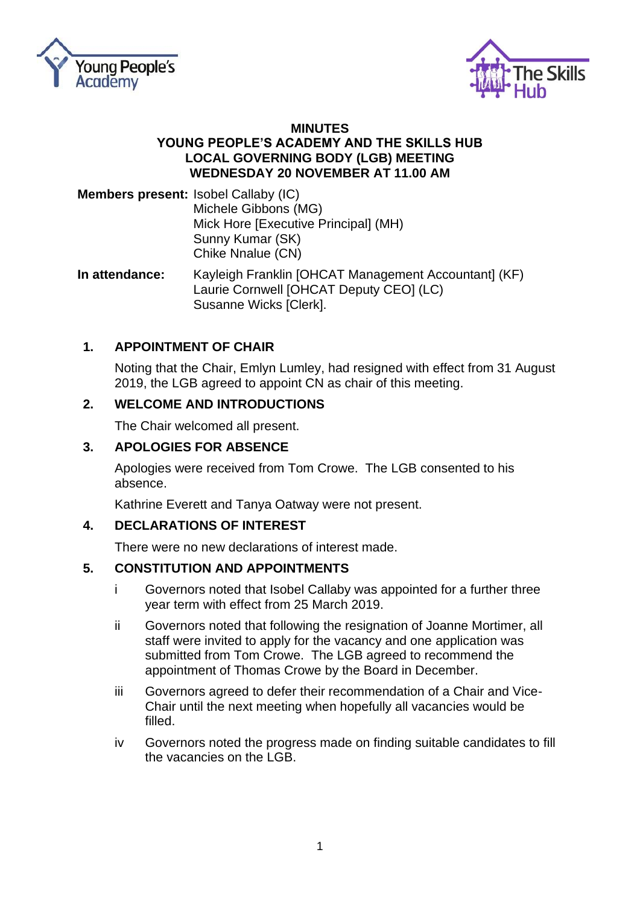



### **MINUTES YOUNG PEOPLE'S ACADEMY AND THE SKILLS HUB LOCAL GOVERNING BODY (LGB) MEETING WEDNESDAY 20 NOVEMBER AT 11.00 AM**

**Members present:** Isobel Callaby (IC) Michele Gibbons (MG) Mick Hore [Executive Principal] (MH) Sunny Kumar (SK) Chike Nnalue (CN)

**In attendance:** Kayleigh Franklin [OHCAT Management Accountant] (KF) Laurie Cornwell [OHCAT Deputy CEO] (LC) Susanne Wicks [Clerk].

# **1. APPOINTMENT OF CHAIR**

Noting that the Chair, Emlyn Lumley, had resigned with effect from 31 August 2019, the LGB agreed to appoint CN as chair of this meeting.

# **2. WELCOME AND INTRODUCTIONS**

The Chair welcomed all present.

# **3. APOLOGIES FOR ABSENCE**

Apologies were received from Tom Crowe. The LGB consented to his absence.

Kathrine Everett and Tanya Oatway were not present.

### **4. DECLARATIONS OF INTEREST**

There were no new declarations of interest made.

### **5. CONSTITUTION AND APPOINTMENTS**

- i Governors noted that Isobel Callaby was appointed for a further three year term with effect from 25 March 2019.
- ii Governors noted that following the resignation of Joanne Mortimer, all staff were invited to apply for the vacancy and one application was submitted from Tom Crowe. The LGB agreed to recommend the appointment of Thomas Crowe by the Board in December.
- iii Governors agreed to defer their recommendation of a Chair and Vice-Chair until the next meeting when hopefully all vacancies would be filled.
- iv Governors noted the progress made on finding suitable candidates to fill the vacancies on the LGB.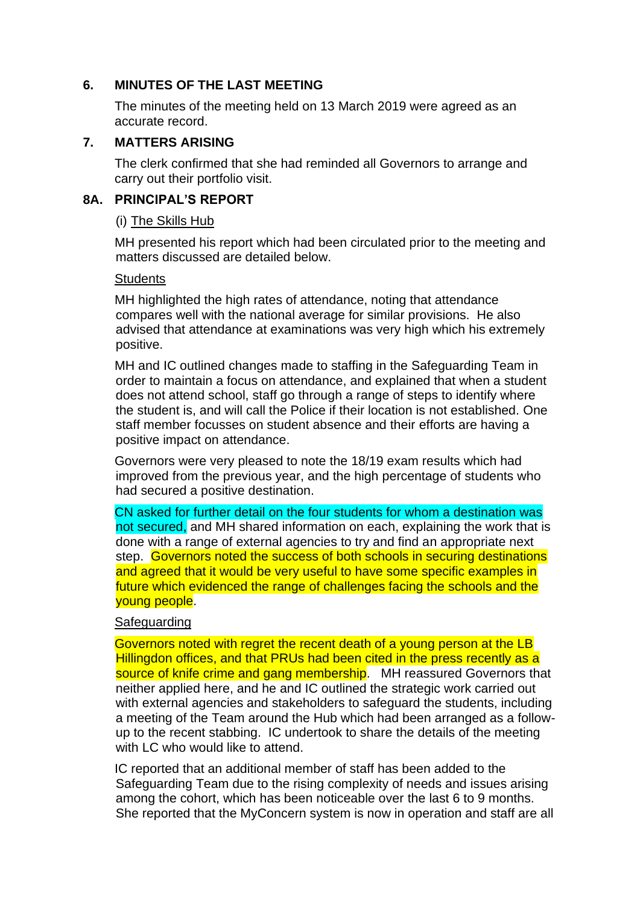### **6. MINUTES OF THE LAST MEETING**

The minutes of the meeting held on 13 March 2019 were agreed as an accurate record.

# **7. MATTERS ARISING**

The clerk confirmed that she had reminded all Governors to arrange and carry out their portfolio visit.

### **8A. PRINCIPAL'S REPORT**

### (i) The Skills Hub

MH presented his report which had been circulated prior to the meeting and matters discussed are detailed below.

# **Students**

MH highlighted the high rates of attendance, noting that attendance compares well with the national average for similar provisions. He also advised that attendance at examinations was very high which his extremely positive.

MH and IC outlined changes made to staffing in the Safeguarding Team in order to maintain a focus on attendance, and explained that when a student does not attend school, staff go through a range of steps to identify where the student is, and will call the Police if their location is not established. One staff member focusses on student absence and their efforts are having a positive impact on attendance.

Governors were very pleased to note the 18/19 exam results which had improved from the previous year, and the high percentage of students who had secured a positive destination.

CN asked for further detail on the four students for whom a destination was not secured, and MH shared information on each, explaining the work that is done with a range of external agencies to try and find an appropriate next step. Governors noted the success of both schools in securing destinations and agreed that it would be very useful to have some specific examples in future which evidenced the range of challenges facing the schools and the young people.

### **Safeguarding**

Governors noted with regret the recent death of a young person at the LB Hillingdon offices, and that PRUs had been cited in the press recently as a source of knife crime and gang membership. MH reassured Governors that neither applied here, and he and IC outlined the strategic work carried out with external agencies and stakeholders to safeguard the students, including a meeting of the Team around the Hub which had been arranged as a followup to the recent stabbing. IC undertook to share the details of the meeting with LC who would like to attend.

IC reported that an additional member of staff has been added to the Safeguarding Team due to the rising complexity of needs and issues arising among the cohort, which has been noticeable over the last 6 to 9 months. She reported that the MyConcern system is now in operation and staff are all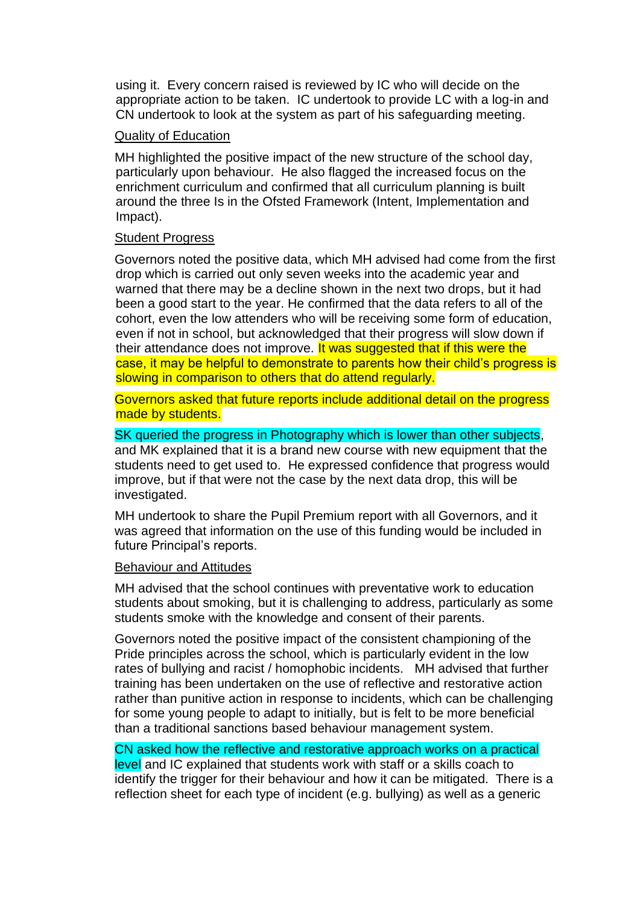using it. Every concern raised is reviewed by IC who will decide on the appropriate action to be taken. IC undertook to provide LC with a log-in and CN undertook to look at the system as part of his safeguarding meeting.

### Quality of Education

MH highlighted the positive impact of the new structure of the school day, particularly upon behaviour. He also flagged the increased focus on the enrichment curriculum and confirmed that all curriculum planning is built around the three Is in the Ofsted Framework (Intent, Implementation and Impact).

### Student Progress

Governors noted the positive data, which MH advised had come from the first drop which is carried out only seven weeks into the academic year and warned that there may be a decline shown in the next two drops, but it had been a good start to the year. He confirmed that the data refers to all of the cohort, even the low attenders who will be receiving some form of education, even if not in school, but acknowledged that their progress will slow down if their attendance does not improve. It was suggested that if this were the case, it may be helpful to demonstrate to parents how their child's progress is slowing in comparison to others that do attend regularly.

Governors asked that future reports include additional detail on the progress made by students.

### SK queried the progress in Photography which is lower than other subjects,

and MK explained that it is a brand new course with new equipment that the students need to get used to. He expressed confidence that progress would improve, but if that were not the case by the next data drop, this will be investigated.

MH undertook to share the Pupil Premium report with all Governors, and it was agreed that information on the use of this funding would be included in future Principal's reports.

### Behaviour and Attitudes

MH advised that the school continues with preventative work to education students about smoking, but it is challenging to address, particularly as some students smoke with the knowledge and consent of their parents.

Governors noted the positive impact of the consistent championing of the Pride principles across the school, which is particularly evident in the low rates of bullying and racist / homophobic incidents. MH advised that further training has been undertaken on the use of reflective and restorative action rather than punitive action in response to incidents, which can be challenging for some young people to adapt to initially, but is felt to be more beneficial than a traditional sanctions based behaviour management system.

CN asked how the reflective and restorative approach works on a practical level and IC explained that students work with staff or a skills coach to identify the trigger for their behaviour and how it can be mitigated. There is a reflection sheet for each type of incident (e.g. bullying) as well as a generic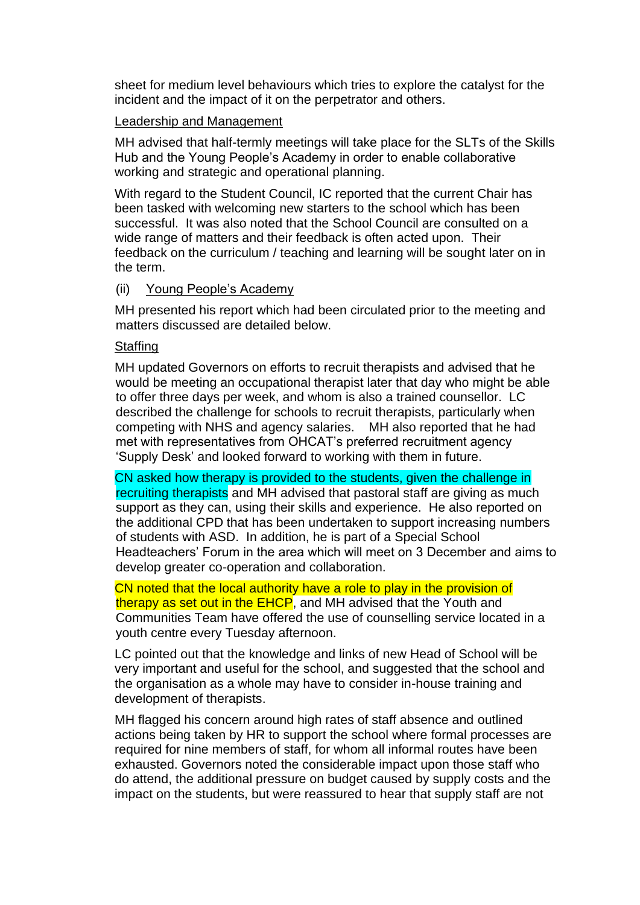sheet for medium level behaviours which tries to explore the catalyst for the incident and the impact of it on the perpetrator and others.

### Leadership and Management

MH advised that half-termly meetings will take place for the SLTs of the Skills Hub and the Young People's Academy in order to enable collaborative working and strategic and operational planning.

With regard to the Student Council, IC reported that the current Chair has been tasked with welcoming new starters to the school which has been successful. It was also noted that the School Council are consulted on a wide range of matters and their feedback is often acted upon. Their feedback on the curriculum / teaching and learning will be sought later on in the term.

### (ii) Young People's Academy

MH presented his report which had been circulated prior to the meeting and matters discussed are detailed below.

### **Staffing**

MH updated Governors on efforts to recruit therapists and advised that he would be meeting an occupational therapist later that day who might be able to offer three days per week, and whom is also a trained counsellor. LC described the challenge for schools to recruit therapists, particularly when competing with NHS and agency salaries. MH also reported that he had met with representatives from OHCAT's preferred recruitment agency 'Supply Desk' and looked forward to working with them in future.

CN asked how therapy is provided to the students, given the challenge in recruiting therapists and MH advised that pastoral staff are giving as much support as they can, using their skills and experience. He also reported on the additional CPD that has been undertaken to support increasing numbers of students with ASD. In addition, he is part of a Special School Headteachers' Forum in the area which will meet on 3 December and aims to develop greater co-operation and collaboration.

CN noted that the local authority have a role to play in the provision of therapy as set out in the EHCP, and MH advised that the Youth and Communities Team have offered the use of counselling service located in a youth centre every Tuesday afternoon.

LC pointed out that the knowledge and links of new Head of School will be very important and useful for the school, and suggested that the school and the organisation as a whole may have to consider in-house training and development of therapists.

MH flagged his concern around high rates of staff absence and outlined actions being taken by HR to support the school where formal processes are required for nine members of staff, for whom all informal routes have been exhausted. Governors noted the considerable impact upon those staff who do attend, the additional pressure on budget caused by supply costs and the impact on the students, but were reassured to hear that supply staff are not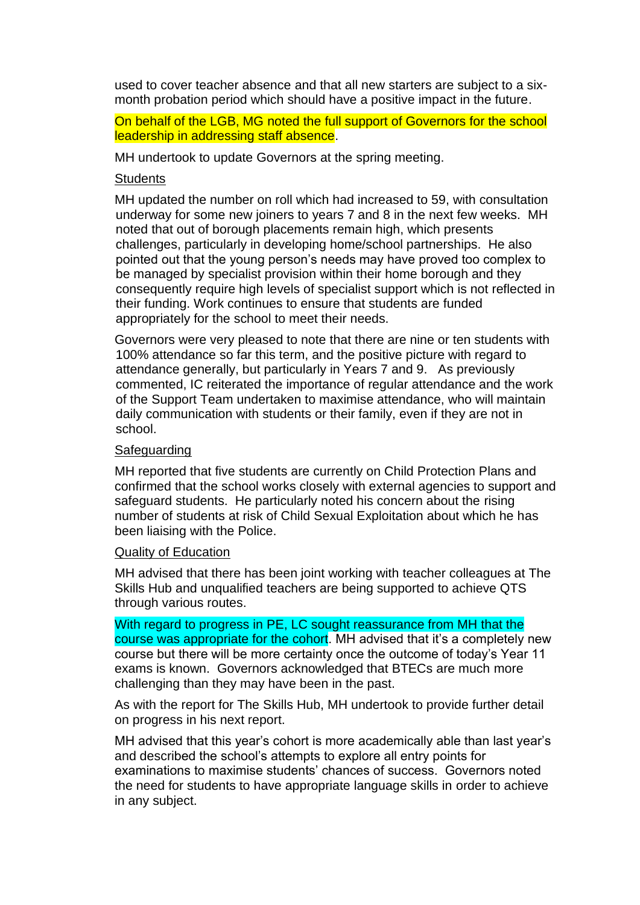used to cover teacher absence and that all new starters are subject to a sixmonth probation period which should have a positive impact in the future.

### On behalf of the LGB, MG noted the full support of Governors for the school leadership in addressing staff absence.

MH undertook to update Governors at the spring meeting.

#### **Students**

MH updated the number on roll which had increased to 59, with consultation underway for some new joiners to years 7 and 8 in the next few weeks. MH noted that out of borough placements remain high, which presents challenges, particularly in developing home/school partnerships. He also pointed out that the young person's needs may have proved too complex to be managed by specialist provision within their home borough and they consequently require high levels of specialist support which is not reflected in their funding. Work continues to ensure that students are funded appropriately for the school to meet their needs.

Governors were very pleased to note that there are nine or ten students with 100% attendance so far this term, and the positive picture with regard to attendance generally, but particularly in Years 7 and 9. As previously commented, IC reiterated the importance of regular attendance and the work of the Support Team undertaken to maximise attendance, who will maintain daily communication with students or their family, even if they are not in school.

#### **Safeguarding**

MH reported that five students are currently on Child Protection Plans and confirmed that the school works closely with external agencies to support and safeguard students. He particularly noted his concern about the rising number of students at risk of Child Sexual Exploitation about which he has been liaising with the Police.

#### Quality of Education

MH advised that there has been joint working with teacher colleagues at The Skills Hub and unqualified teachers are being supported to achieve QTS through various routes.

With regard to progress in PE, LC sought reassurance from MH that the course was appropriate for the cohort. MH advised that it's a completely new course but there will be more certainty once the outcome of today's Year 11 exams is known. Governors acknowledged that BTECs are much more challenging than they may have been in the past.

As with the report for The Skills Hub, MH undertook to provide further detail on progress in his next report.

MH advised that this year's cohort is more academically able than last year's and described the school's attempts to explore all entry points for examinations to maximise students' chances of success. Governors noted the need for students to have appropriate language skills in order to achieve in any subject.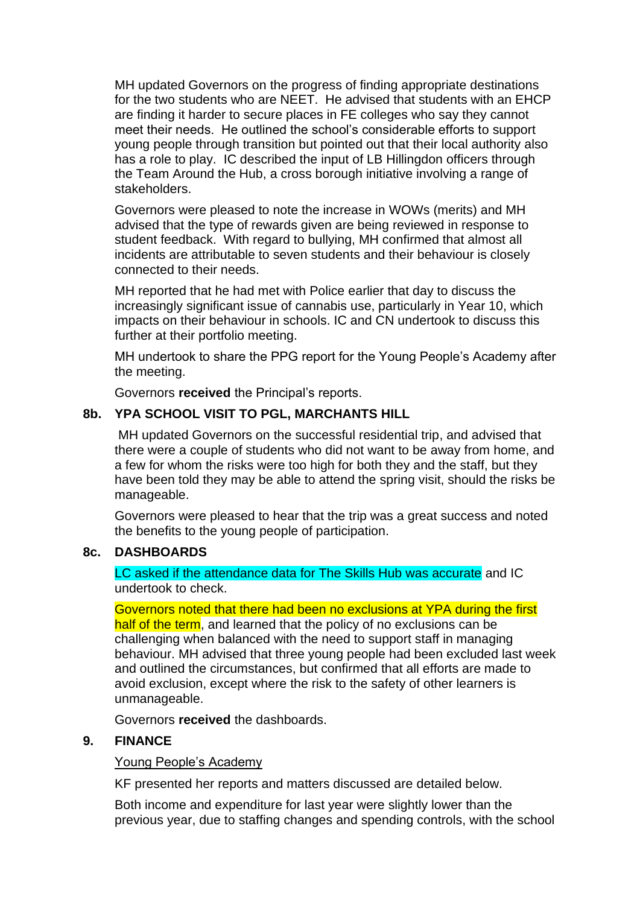MH updated Governors on the progress of finding appropriate destinations for the two students who are NEET. He advised that students with an EHCP are finding it harder to secure places in FE colleges who say they cannot meet their needs. He outlined the school's considerable efforts to support young people through transition but pointed out that their local authority also has a role to play. IC described the input of LB Hillingdon officers through the Team Around the Hub, a cross borough initiative involving a range of stakeholders.

Governors were pleased to note the increase in WOWs (merits) and MH advised that the type of rewards given are being reviewed in response to student feedback. With regard to bullying, MH confirmed that almost all incidents are attributable to seven students and their behaviour is closely connected to their needs.

MH reported that he had met with Police earlier that day to discuss the increasingly significant issue of cannabis use, particularly in Year 10, which impacts on their behaviour in schools. IC and CN undertook to discuss this further at their portfolio meeting.

MH undertook to share the PPG report for the Young People's Academy after the meeting.

Governors **received** the Principal's reports.

# **8b. YPA SCHOOL VISIT TO PGL, MARCHANTS HILL**

MH updated Governors on the successful residential trip, and advised that there were a couple of students who did not want to be away from home, and a few for whom the risks were too high for both they and the staff, but they have been told they may be able to attend the spring visit, should the risks be manageable.

Governors were pleased to hear that the trip was a great success and noted the benefits to the young people of participation.

### **8c. DASHBOARDS**

LC asked if the attendance data for The Skills Hub was accurate and IC undertook to check.

### Governors noted that there had been no exclusions at YPA during the first

half of the term, and learned that the policy of no exclusions can be challenging when balanced with the need to support staff in managing behaviour. MH advised that three young people had been excluded last week and outlined the circumstances, but confirmed that all efforts are made to avoid exclusion, except where the risk to the safety of other learners is unmanageable.

Governors **received** the dashboards.

### **9. FINANCE**

Young People's Academy

KF presented her reports and matters discussed are detailed below.

Both income and expenditure for last year were slightly lower than the previous year, due to staffing changes and spending controls, with the school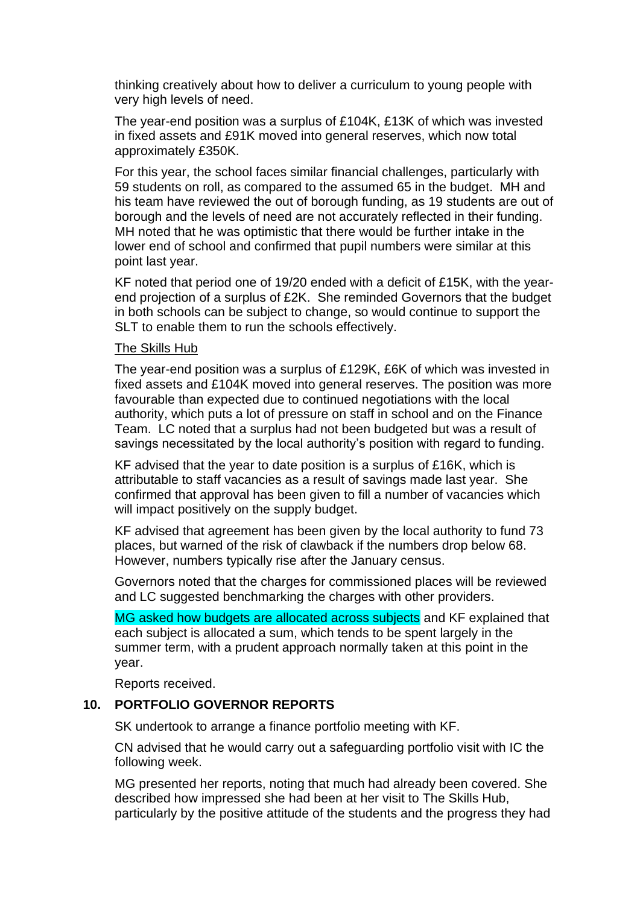thinking creatively about how to deliver a curriculum to young people with very high levels of need.

The year-end position was a surplus of £104K, £13K of which was invested in fixed assets and £91K moved into general reserves, which now total approximately £350K.

For this year, the school faces similar financial challenges, particularly with 59 students on roll, as compared to the assumed 65 in the budget. MH and his team have reviewed the out of borough funding, as 19 students are out of borough and the levels of need are not accurately reflected in their funding. MH noted that he was optimistic that there would be further intake in the lower end of school and confirmed that pupil numbers were similar at this point last year.

KF noted that period one of 19/20 ended with a deficit of £15K, with the yearend projection of a surplus of £2K. She reminded Governors that the budget in both schools can be subject to change, so would continue to support the SLT to enable them to run the schools effectively.

### The Skills Hub

The year-end position was a surplus of £129K, £6K of which was invested in fixed assets and £104K moved into general reserves. The position was more favourable than expected due to continued negotiations with the local authority, which puts a lot of pressure on staff in school and on the Finance Team. LC noted that a surplus had not been budgeted but was a result of savings necessitated by the local authority's position with regard to funding.

KF advised that the year to date position is a surplus of £16K, which is attributable to staff vacancies as a result of savings made last year. She confirmed that approval has been given to fill a number of vacancies which will impact positively on the supply budget.

KF advised that agreement has been given by the local authority to fund 73 places, but warned of the risk of clawback if the numbers drop below 68. However, numbers typically rise after the January census.

Governors noted that the charges for commissioned places will be reviewed and LC suggested benchmarking the charges with other providers.

MG asked how budgets are allocated across subjects and KF explained that each subject is allocated a sum, which tends to be spent largely in the summer term, with a prudent approach normally taken at this point in the year.

Reports received.

# **10. PORTFOLIO GOVERNOR REPORTS**

SK undertook to arrange a finance portfolio meeting with KF.

CN advised that he would carry out a safeguarding portfolio visit with IC the following week.

MG presented her reports, noting that much had already been covered. She described how impressed she had been at her visit to The Skills Hub, particularly by the positive attitude of the students and the progress they had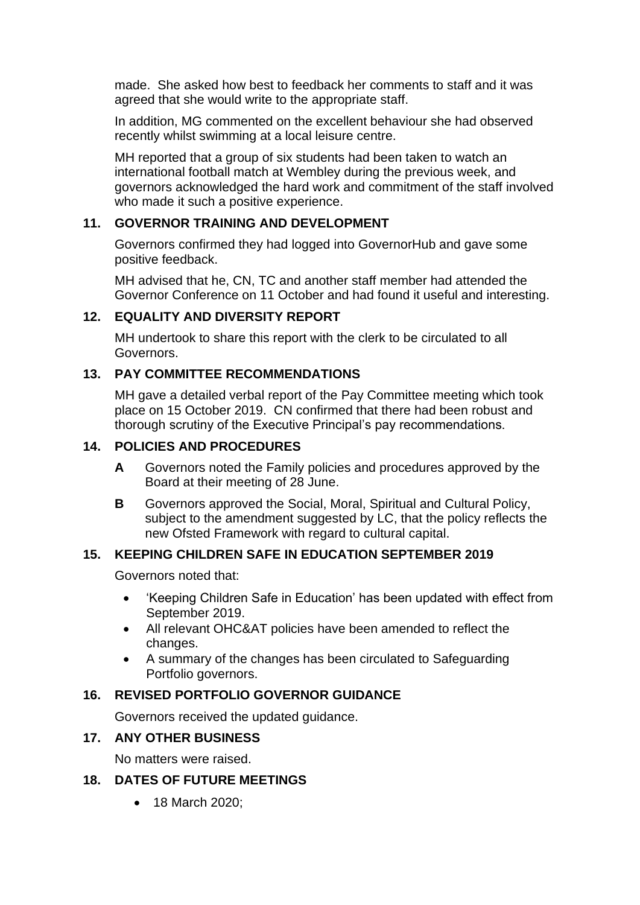made. She asked how best to feedback her comments to staff and it was agreed that she would write to the appropriate staff.

In addition, MG commented on the excellent behaviour she had observed recently whilst swimming at a local leisure centre.

MH reported that a group of six students had been taken to watch an international football match at Wembley during the previous week, and governors acknowledged the hard work and commitment of the staff involved who made it such a positive experience.

# **11. GOVERNOR TRAINING AND DEVELOPMENT**

Governors confirmed they had logged into GovernorHub and gave some positive feedback.

MH advised that he, CN, TC and another staff member had attended the Governor Conference on 11 October and had found it useful and interesting.

# **12. EQUALITY AND DIVERSITY REPORT**

MH undertook to share this report with the clerk to be circulated to all Governors.

# **13. PAY COMMITTEE RECOMMENDATIONS**

MH gave a detailed verbal report of the Pay Committee meeting which took place on 15 October 2019. CN confirmed that there had been robust and thorough scrutiny of the Executive Principal's pay recommendations.

# **14. POLICIES AND PROCEDURES**

- **A** Governors noted the Family policies and procedures approved by the Board at their meeting of 28 June.
- **B** Governors approved the Social, Moral, Spiritual and Cultural Policy, subject to the amendment suggested by LC, that the policy reflects the new Ofsted Framework with regard to cultural capital.

# **15. KEEPING CHILDREN SAFE IN EDUCATION SEPTEMBER 2019**

Governors noted that:

- 'Keeping Children Safe in Education' has been updated with effect from September 2019.
- All relevant OHC&AT policies have been amended to reflect the changes.
- A summary of the changes has been circulated to Safeguarding Portfolio governors.

# **16. REVISED PORTFOLIO GOVERNOR GUIDANCE**

Governors received the updated guidance.

# **17. ANY OTHER BUSINESS**

No matters were raised.

### **18. DATES OF FUTURE MEETINGS**

• 18 March 2020: